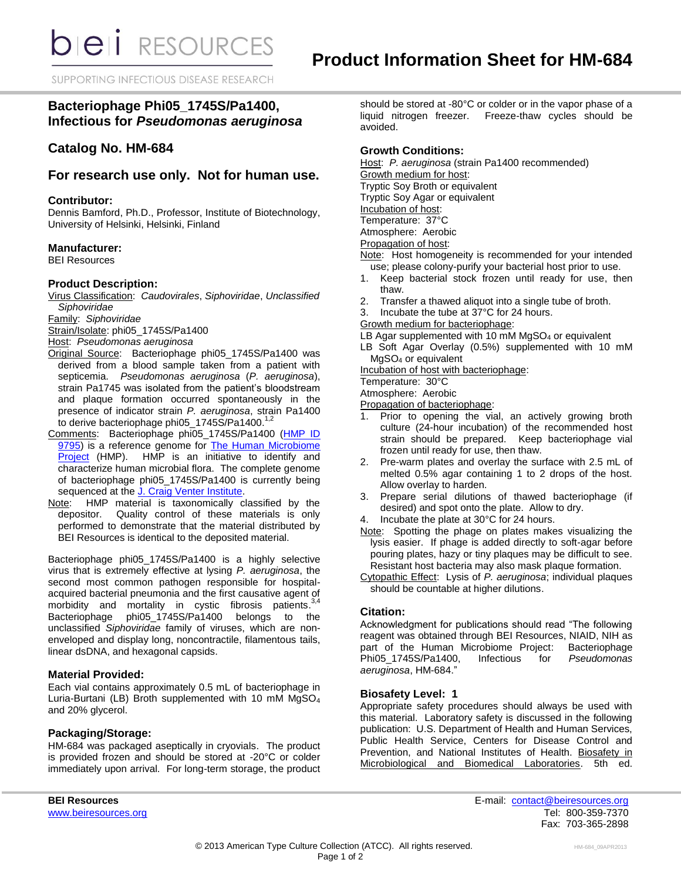SUPPORTING INFECTIOUS DISEASE RESEARCH

# **Bacteriophage Phi05\_1745S/Pa1400, Infectious for** *Pseudomonas aeruginosa*

## **Catalog No. HM-684**

## **For research use only. Not for human use.**

#### **Contributor:**

Dennis Bamford, Ph.D., Professor, Institute of Biotechnology, University of Helsinki, Helsinki, Finland

#### **Manufacturer:**

BEI Resources

#### **Product Description:**

Virus Classification: *Caudovirales*, *Siphoviridae*, *Unclassified Siphoviridae*

Family: *Siphoviridae*

Strain/Isolate: phi05\_1745S/Pa1400

Host: *Pseudomonas aeruginosa*

- Original Source: Bacteriophage phi05\_1745S/Pa1400 was derived from a blood sample taken from a patient with septicemia. *Pseudomonas aeruginosa* (*P. aeruginosa*), strain Pa1745 was isolated from the patient's bloodstream and plaque formation occurred spontaneously in the presence of indicator strain *P. aeruginosa*, strain Pa1400 .<br>to derive bacteriophage phi05\_1745S/Pa1400.<sup>1,2</sup>
- Comments: Bacteriophage phi05\_1745S/Pa1400 (HMP ID [9795\)](http://www.hmpdacc-resources.org/cgi-bin/hmp_catalog/main.cgi?section=HmpSummary&page=displayHmpProject&hmp_id=9795) is a reference genome for [The Human Microbiome](http://nihroadmap.nih.gov/hmp/)  [Project](http://nihroadmap.nih.gov/hmp/) (HMP). HMP is an initiative to identify and characterize human microbial flora. The complete genome of bacteriophage phi05\_1745S/Pa1400 is currently being sequenced at the [J. Craig Venter Institute.](http://hmp.jcvi.org/)
- Note: HMP material is taxonomically classified by the depositor. Quality control of these materials is only performed to demonstrate that the material distributed by BEI Resources is identical to the deposited material.

Bacteriophage phi05 1745S/Pa1400 is a highly selective virus that is extremely effective at lysing *P. aeruginosa*, the second most common pathogen responsible for hospitalacquired bacterial pneumonia and the first causative agent of<br>morbidity and mortality in cystic fibrosis patients.<sup>3,4</sup> morbidity and mortality in cystic fibrosis patients.<sup>3</sup> Bacteriophage phi05\_1745S/Pa1400 belongs to the unclassified *Siphoviridae* family of viruses, which are nonenveloped and display long, noncontractile, filamentous tails, linear dsDNA, and hexagonal capsids.

#### **Material Provided:**

Each vial contains approximately 0.5 mL of bacteriophage in Luria-Burtani (LB) Broth supplemented with 10 mM MgSO<sup>4</sup> and 20% glycerol.

#### **Packaging/Storage:**

HM-684 was packaged aseptically in cryovials. The product is provided frozen and should be stored at -20°C or colder immediately upon arrival. For long-term storage, the product should be stored at -80°C or colder or in the vapor phase of a liquid nitrogen freezer. Freeze-thaw cycles should be avoided.

### **Growth Conditions:**

Host: *P. aeruginosa* (strain Pa1400 recommended)

Growth medium for host:

Tryptic Soy Broth or equivalent

Tryptic Soy Agar or equivalent

Incubation of host: Temperature: 37°C

Atmosphere: Aerobic

Propagation of host:

Note: Host homogeneity is recommended for your intended use; please colony-purify your bacterial host prior to use.

- 1. Keep bacterial stock frozen until ready for use, then thaw.
- 2. Transfer a thawed aliquot into a single tube of broth.

3. Incubate the tube at 37°C for 24 hours.

Growth medium for bacteriophage:

LB Agar supplemented with 10 mM MgSO<sub>4</sub> or equivalent

LB Soft Agar Overlay (0.5%) supplemented with 10 mM MgSO<sup>4</sup> or equivalent

Incubation of host with bacteriophage:

Temperature: 30°C

Atmosphere: Aerobic

Propagation of bacteriophage:

- 1. Prior to opening the vial, an actively growing broth culture (24-hour incubation) of the recommended host strain should be prepared. Keep bacteriophage vial frozen until ready for use, then thaw.
- 2. Pre-warm plates and overlay the surface with 2.5 mL of melted 0.5% agar containing 1 to 2 drops of the host. Allow overlay to harden.
- 3. Prepare serial dilutions of thawed bacteriophage (if desired) and spot onto the plate. Allow to dry.
- 4. Incubate the plate at 30°C for 24 hours.
- Note: Spotting the phage on plates makes visualizing the lysis easier. If phage is added directly to soft-agar before pouring plates, hazy or tiny plaques may be difficult to see. Resistant host bacteria may also mask plaque formation.
- Cytopathic Effect: Lysis of *P. aeruginosa*; individual plaques should be countable at higher dilutions.

## **Citation:**

Acknowledgment for publications should read "The following reagent was obtained through BEI Resources, NIAID, NIH as part of the Human Microbiome Project: Bacteriophage<br>Phi05 1745S/Pa1400, Infectious for Pseudomonas Phi05\_1745S/Pa1400, Infectious for *aeruginosa*, HM-684."

#### **Biosafety Level: 1**

Appropriate safety procedures should always be used with this material. Laboratory safety is discussed in the following publication: U.S. Department of Health and Human Services, Public Health Service, Centers for Disease Control and Prevention, and National Institutes of Health. Biosafety in Microbiological and Biomedical Laboratories. 5th ed.

**BEI Resources** E-mail: [contact@beiresources.org](mailto:contact@beiresources.org) [www.beiresources.org](http://www.beiresources.org/) **Tel: 800-359-7370** Fax: 703-365-2898